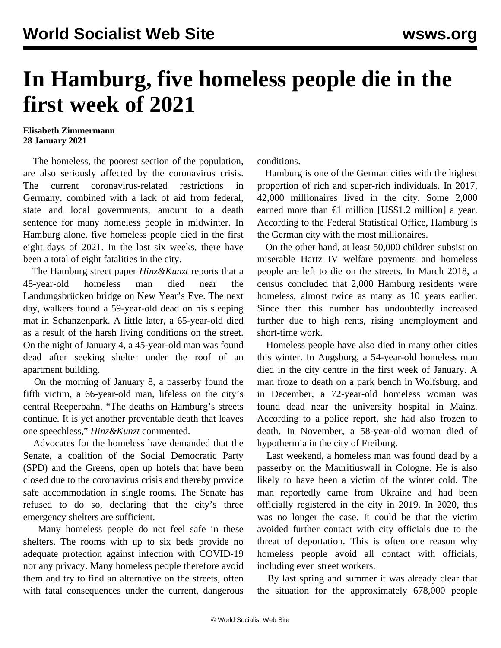## **In Hamburg, five homeless people die in the first week of 2021**

## **Elisabeth Zimmermann 28 January 2021**

 The homeless, the poorest section of the population, are also seriously affected by the coronavirus crisis. The current coronavirus-related restrictions in Germany, combined with a lack of aid from federal, state and local governments, amount to a death sentence for many homeless people in midwinter. In Hamburg alone, five homeless people died in the first eight days of 2021. In the last six weeks, there have been a total of eight fatalities in the city.

 The Hamburg street paper *Hinz&Kunzt* reports that a 48-year-old homeless man died near the Landungsbrücken bridge on New Year's Eve. The next day, walkers found a 59-year-old dead on his sleeping mat in Schanzenpark. A little later, a 65-year-old died as a result of the harsh living conditions on the street. On the night of January 4, a 45-year-old man was found dead after seeking shelter under the roof of an apartment building.

 On the morning of January 8, a passerby found the fifth victim, a 66-year-old man, lifeless on the city's central Reeperbahn. "The deaths on Hamburg's streets continue. It is yet another preventable death that leaves one speechless," *Hinz&Kunzt* commented.

 Advocates for the homeless have demanded that the Senate, a coalition of the Social Democratic Party (SPD) and the Greens, open up hotels that have been closed due to the coronavirus crisis and thereby provide safe accommodation in single rooms. The Senate has refused to do so, declaring that the city's three emergency shelters are sufficient.

 Many homeless people do not feel safe in these shelters. The rooms with up to six beds provide no adequate protection against infection with COVID-19 nor any privacy. Many homeless people therefore avoid them and try to find an alternative on the streets, often with fatal consequences under the current, dangerous

conditions.

 Hamburg is one of the German cities with the highest proportion of rich and super-rich individuals. In 2017, 42,000 millionaires lived in the city. Some 2,000 earned more than  $\epsilon$ 1 million [US\$1.2 million] a year. According to the Federal Statistical Office, Hamburg is the German city with the most millionaires.

 On the other hand, at least 50,000 children subsist on miserable Hartz IV welfare payments and homeless people are left to die on the streets. In March 2018, a census concluded that 2,000 Hamburg residents were homeless, almost twice as many as 10 years earlier. Since then this number has undoubtedly increased further due to high rents, rising unemployment and short-time work.

 Homeless people have also died in many other cities this winter. In Augsburg, a 54-year-old homeless man died in the city centre in the first week of January. A man froze to death on a park bench in Wolfsburg, and in December, a 72-year-old homeless woman was found dead near the university hospital in Mainz. According to a police report, she had also frozen to death. In November, a 58-year-old woman died of hypothermia in the city of Freiburg.

 Last weekend, a homeless man was found dead by a passerby on the Mauritiuswall in Cologne. He is also likely to have been a victim of the winter cold. The man reportedly came from Ukraine and had been officially registered in the city in 2019. In 2020, this was no longer the case. It could be that the victim avoided further contact with city officials due to the threat of deportation. This is often one reason why homeless people avoid all contact with officials, including even street workers.

 By last spring and summer it was already clear that the situation for the approximately 678,000 people